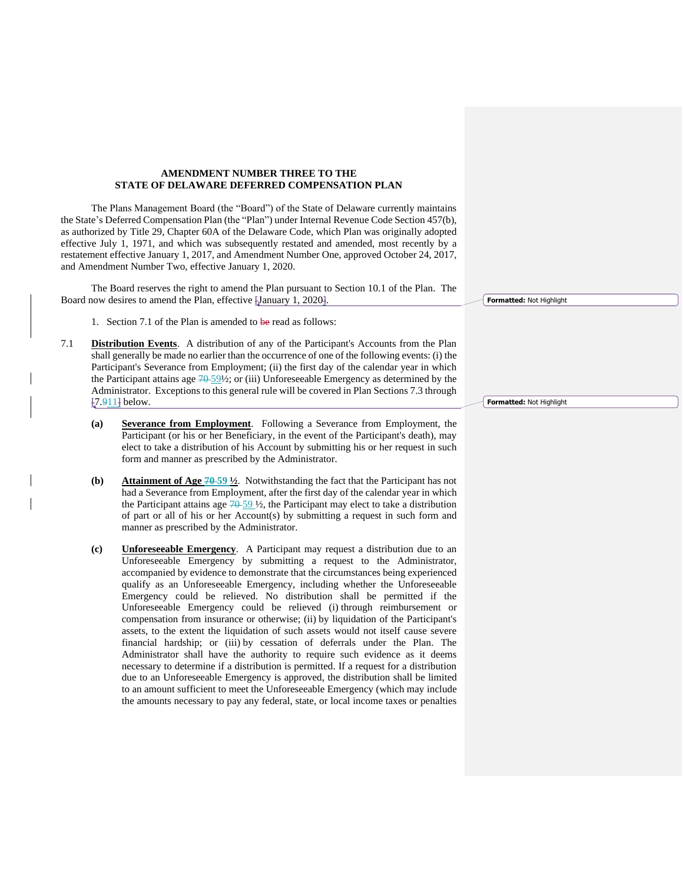## **AMENDMENT NUMBER THREE TO THE STATE OF DELAWARE DEFERRED COMPENSATION PLAN**

The Plans Management Board (the "Board") of the State of Delaware currently maintains the State's Deferred Compensation Plan (the "Plan") under Internal Revenue Code Section 457(b), as authorized by Title 29, Chapter 60A of the Delaware Code, which Plan was originally adopted effective July 1, 1971, and which was subsequently restated and amended, most recently by a restatement effective January 1, 2017, and Amendment Number One, approved October 24, 2017, and Amendment Number Two, effective January 1, 2020.

The Board reserves the right to amend the Plan pursuant to Section 10.1 of the Plan. The Board now desires to amend the Plan, effective [January 1, 2020].

- 1. Section 7.1 of the Plan is amended to be read as follows:
- 7.1 **Distribution Events**. A distribution of any of the Participant's Accounts from the Plan shall generally be made no earlier than the occurrence of one of the following events: (i) the Participant's Severance from Employment; (ii) the first day of the calendar year in which the Participant attains age  $70-59\frac{1}{2}$ ; or (iii) Unforeseeable Emergency as determined by the Administrator. Exceptions to this general rule will be covered in Plan Sections 7.3 through [7.911] below.
	- **(a) Severance from Employment**. Following a Severance from Employment, the Participant (or his or her Beneficiary, in the event of the Participant's death), may elect to take a distribution of his Account by submitting his or her request in such form and manner as prescribed by the Administrator.
	- **(b) Attainment of Age 70 59 ½**. Notwithstanding the fact that the Participant has not had a Severance from Employment, after the first day of the calendar year in which the Participant attains age  $70-59\frac{1}{2}$ , the Participant may elect to take a distribution of part or all of his or her Account(s) by submitting a request in such form and manner as prescribed by the Administrator.
	- **(c) Unforeseeable Emergency**. A Participant may request a distribution due to an Unforeseeable Emergency by submitting a request to the Administrator, accompanied by evidence to demonstrate that the circumstances being experienced qualify as an Unforeseeable Emergency, including whether the Unforeseeable Emergency could be relieved. No distribution shall be permitted if the Unforeseeable Emergency could be relieved (i) through reimbursement or compensation from insurance or otherwise; (ii) by liquidation of the Participant's assets, to the extent the liquidation of such assets would not itself cause severe financial hardship; or (iii) by cessation of deferrals under the Plan. The Administrator shall have the authority to require such evidence as it deems necessary to determine if a distribution is permitted. If a request for a distribution due to an Unforeseeable Emergency is approved, the distribution shall be limited to an amount sufficient to meet the Unforeseeable Emergency (which may include the amounts necessary to pay any federal, state, or local income taxes or penalties

**Formatted:** Not Highlight

**Formatted:** Not Highlight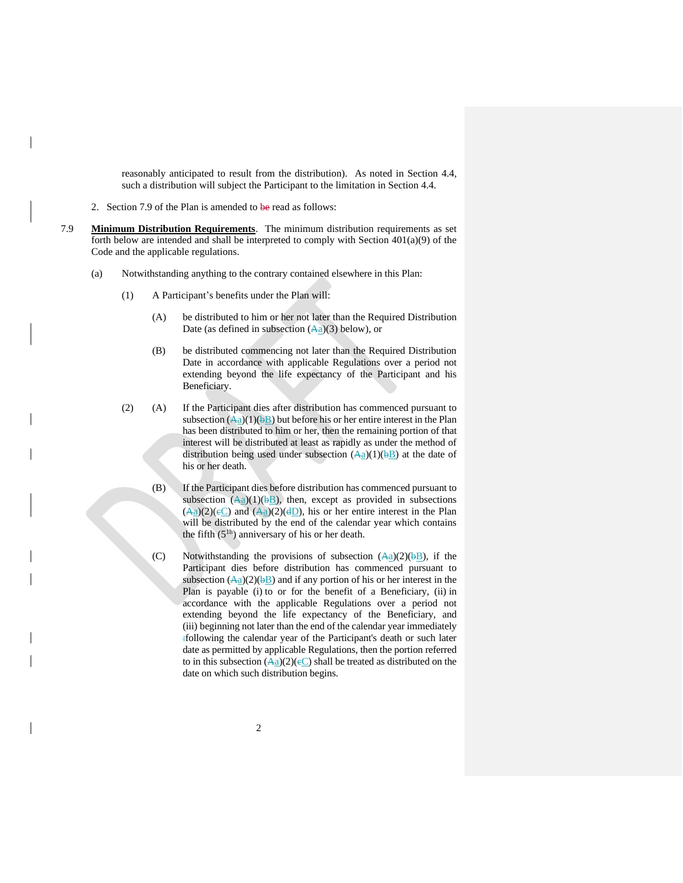reasonably anticipated to result from the distribution). As noted in Section 4.4, such a distribution will subject the Participant to the limitation in Section 4.4.

- 2. Section 7.9 of the Plan is amended to be read as follows:
- 7.9 **Minimum Distribution Requirements**. The minimum distribution requirements as set forth below are intended and shall be interpreted to comply with Section  $401(a)(9)$  of the Code and the applicable regulations.
	- (a) Notwithstanding anything to the contrary contained elsewhere in this Plan:
		- (1) A Participant's benefits under the Plan will:
			- (A) be distributed to him or her not later than the Required Distribution Date (as defined in subsection  $(Aa)(3)$  below), or
			- (B) be distributed commencing not later than the Required Distribution Date in accordance with applicable Regulations over a period not extending beyond the life expectancy of the Participant and his Beneficiary.
		- (2) (A) If the Participant dies after distribution has commenced pursuant to subsection  $(\overline{Aa})(1)(\overline{bB})$  but before his or her entire interest in the Plan has been distributed to him or her, then the remaining portion of that interest will be distributed at least as rapidly as under the method of distribution being used under subsection  $(Aa)(1)(bB)$  at the date of his or her death.
			- (B) If the Participant dies before distribution has commenced pursuant to subsection  $(\overline{Aa})(1)(\overline{bB})$ , then, except as provided in subsections  $(\overline{Aa})(2)(eC)$  and  $(\overline{Aa})(2)(dD)$ , his or her entire interest in the Plan will be distributed by the end of the calendar year which contains the fifth  $(5<sup>1h</sup>)$  anniversary of his or her death.
			- (C) Notwithstanding the provisions of subsection  $(Aa)(2)(\overline{b}B)$ , if the Participant dies before distribution has commenced pursuant to subsection  $(\overline{Aa})(2)(\overline{bB})$  and if any portion of his or her interest in the Plan is payable (i) to or for the benefit of a Beneficiary, (ii) in accordance with the applicable Regulations over a period not extending beyond the life expectancy of the Beneficiary, and (iii) beginning not later than the end of the calendar year immediately :following the calendar year of the Participant's death or such later date as permitted by applicable Regulations, then the portion referred to in this subsection  $\left(\frac{A_a}{2}\right)(2)(e_a)$  shall be treated as distributed on the date on which such distribution begins.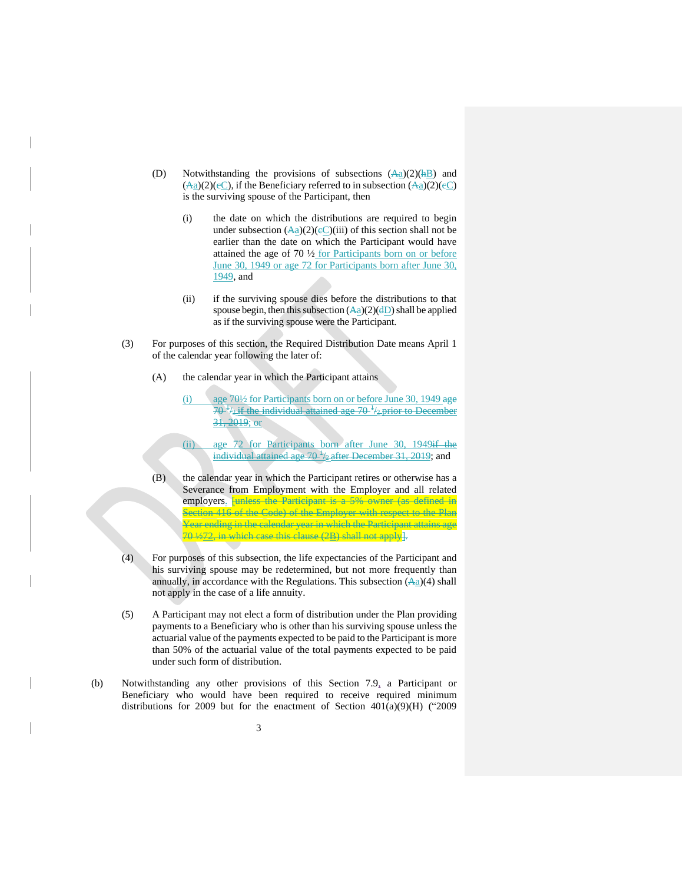- (D) Notwithstanding the provisions of subsections  $(Aa)(2)(AB)$  and  $(\overline{Aa})(2)(eC)$ , if the Beneficiary referred to in subsection  $(\overline{Aa})(2)(eC)$ is the surviving spouse of the Participant, then
	- (i) the date on which the distributions are required to begin under subsection  $(\overline{Aa})(2)(eC)(iii)$  of this section shall not be earlier than the date on which the Participant would have attained the age of 70 ½ for Participants born on or before June 30, 1949 or age 72 for Participants born after June 30, 1949, and
	- (ii) if the surviving spouse dies before the distributions to that spouse begin, then this subsection  $(\overline{Aa})(2)(dD)$  shall be applied as if the surviving spouse were the Participant.
- (3) For purposes of this section, the Required Distribution Date means April 1 of the calendar year following the later of:
	- (A) the calendar year in which the Participant attains
		- (i) age  $70\frac{1}{2}$  for Participants born on or before June 30, 1949 age  $70<sup>1</sup>/2$  if the individual attained age  $70<sup>1</sup>/2$  prior to December 31, 2019; or
		- (ii) age 72 for Participants born after June 30, 1949<del>if the</del> individual attained age 70<sup>+</sup>/<sub>2</sub> after December 31, 2019; and
	- (B) the calendar year in which the Participant retires or otherwise has a Severance from Employment with the Employer and all related employers. **[unless the Participant is a 5% owner (as defined in** Section 416 of the Code) of the Employer with respect to the Plan Year ending in the calendar year in which the Participant attains age 70 ½72, in which case this clause (2B) shall not apply].
- (4) For purposes of this subsection, the life expectancies of the Participant and his surviving spouse may be redetermined, but not more frequently than annually, in accordance with the Regulations. This subsection  $(A<sub>a</sub>)(4)$  shall not apply in the case of a life annuity.
- (5) A Participant may not elect a form of distribution under the Plan providing payments to a Beneficiary who is other than his surviving spouse unless the actuarial value of the payments expected to be paid to the Participant is more than 50% of the actuarial value of the total payments expected to be paid under such form of distribution.
- (b) Notwithstanding any other provisions of this Section 7.9, a Participant or Beneficiary who would have been required to receive required minimum distributions for 2009 but for the enactment of Section 401(a)(9)(H) ("2009